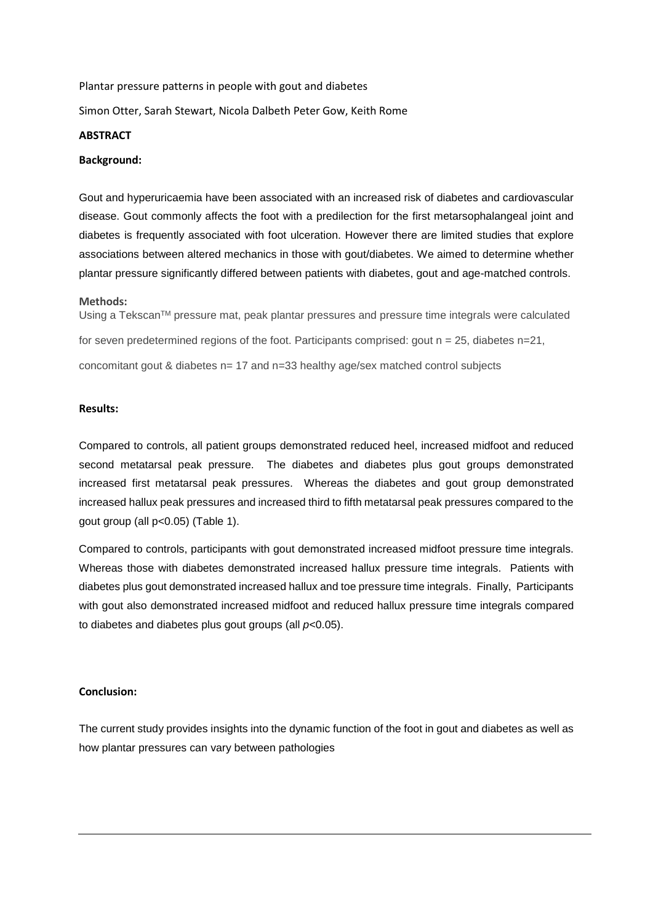Plantar pressure patterns in people with gout and diabetes Simon Otter, Sarah Stewart, Nicola Dalbeth Peter Gow, Keith Rome

### **ABSTRACT**

## **Background:**

Gout and hyperuricaemia have been associated with an increased risk of diabetes and cardiovascular disease. Gout commonly affects the foot with a predilection for the first metarsophalangeal joint and diabetes is frequently associated with foot ulceration. However there are limited studies that explore associations between altered mechanics in those with gout/diabetes. We aimed to determine whether plantar pressure significantly differed between patients with diabetes, gout and age-matched controls.

### **Methods:**

Using a Tekscan™ pressure mat, peak plantar pressures and pressure time integrals were calculated for seven predetermined regions of the foot. Participants comprised: gout  $n = 25$ , diabetes  $n=21$ , concomitant gout & diabetes n= 17 and n=33 healthy age/sex matched control subjects

#### **Results:**

Compared to controls, all patient groups demonstrated reduced heel, increased midfoot and reduced second metatarsal peak pressure. The diabetes and diabetes plus gout groups demonstrated increased first metatarsal peak pressures. Whereas the diabetes and gout group demonstrated increased hallux peak pressures and increased third to fifth metatarsal peak pressures compared to the gout group (all p<0.05) (Table 1).

Compared to controls, participants with gout demonstrated increased midfoot pressure time integrals. Whereas those with diabetes demonstrated increased hallux pressure time integrals. Patients with diabetes plus gout demonstrated increased hallux and toe pressure time integrals. Finally, Participants with gout also demonstrated increased midfoot and reduced hallux pressure time integrals compared to diabetes and diabetes plus gout groups (all *p*<0.05).

# **Conclusion:**

The current study provides insights into the dynamic function of the foot in gout and diabetes as well as how plantar pressures can vary between pathologies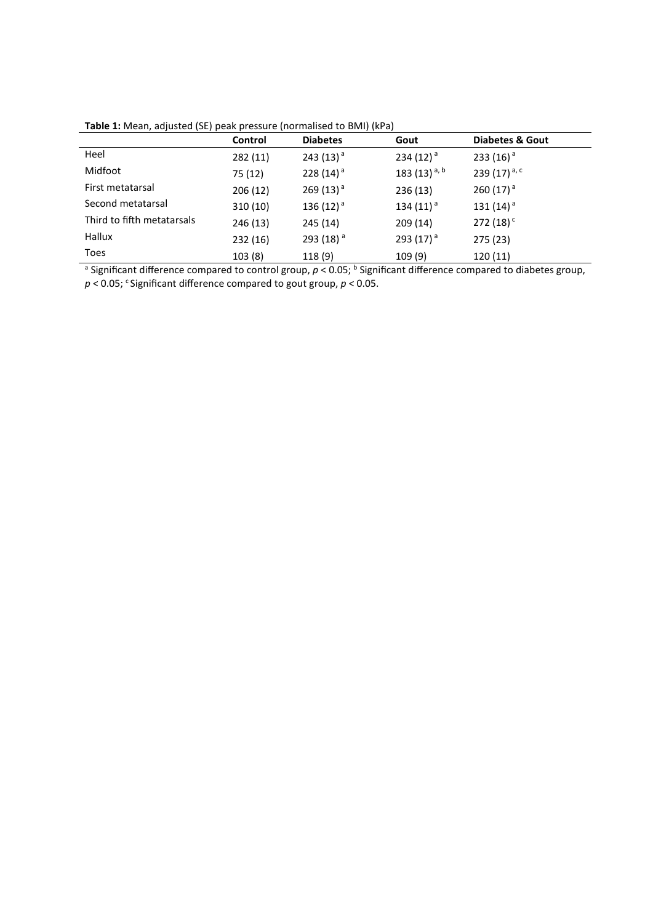| Table 1: Mean, adjusted (SE) peak pressure (normalised to BMI) (kPa) |  |  |  |
|----------------------------------------------------------------------|--|--|--|
|----------------------------------------------------------------------|--|--|--|

|                            | Control  | <b>Diabetes</b> | Gout                     | <b>Diabetes &amp; Gout</b> |
|----------------------------|----------|-----------------|--------------------------|----------------------------|
| Heel                       | 282(11)  | 243 $(13)^a$    | 234 $(12)^{a}$           | 233 (16) <sup>a</sup>      |
| Midfoot                    | 75 (12)  | 228 $(14)^a$    | 183 (13) <sup>a, b</sup> | 239 (17) $a, c$            |
| First metatarsal           | 206(12)  | 269 $(13)^{a}$  | 236(13)                  | 260 $(17)^{a}$             |
| Second metatarsal          | 310(10)  | 136 $(12)^a$    | 134 $(11)^a$             | 131 $(14)^a$               |
| Third to fifth metatarsals | 246 (13) | 245 (14)        | 209(14)                  | 272 $(18)^c$               |
| Hallux                     | 232 (16) | 293 (18) $^a$   | 293 $(17)^{a}$           | 275 (23)                   |
| <b>Toes</b>                | 103(8)   | 118 (9)         | 109 (9)                  | 120(11)                    |

<sup>a</sup> Significant difference compared to control group,  $p < 0.05$ ; <sup>b</sup> Significant difference compared to diabetes group, p < 0.05; <sup>c</sup> Significant difference compared to gout group, p < 0.05.